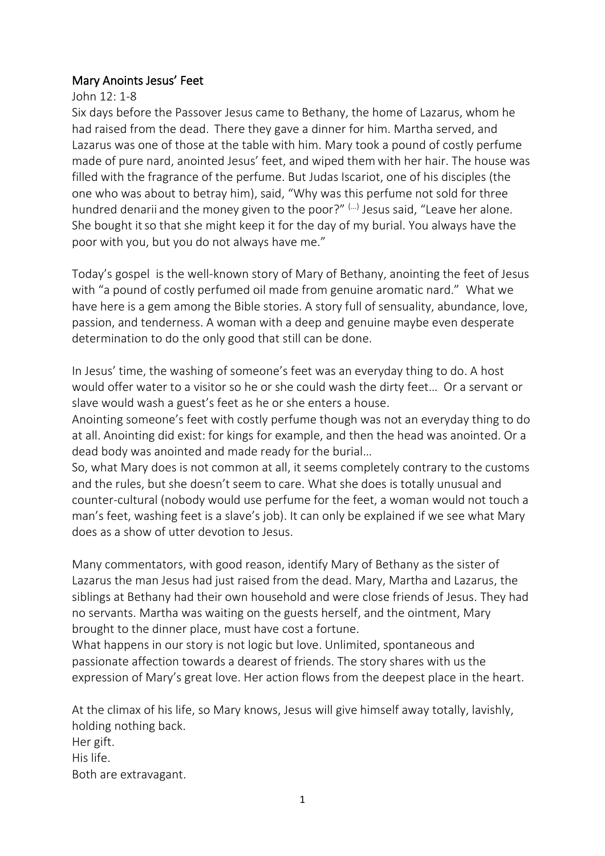## Mary Anoints Jesus' Feet

## John 12: 1-8

Six days before the Passover Jesus came to Bethany, the home of Lazarus, whom he had raised from the dead. There they gave a dinner for him. Martha served, and Lazarus was one of those at the table with him. Mary took a pound of costly perfume made of pure nard, anointed Jesus' feet, and wiped them with her hair. The house was filled with the fragrance of the perfume. But Judas Iscariot, one of his disciples (the one who was about to betray him), said, "Why was this perfume not sold for three hundred denarii and the money given to the poor?" (…) Jesus said, "Leave her alone. She bought it so that she might keep it for the day of my burial. You always have the poor with you, but you do not always have me."

Today's [gospel](https://bible.usccb.org/bible/readings/032921.cfm) is the well-known story of Mary of Bethany, anointing the feet of Jesus with "a pound of costly perfumed oil made from genuine aromatic nard." What we have here is a gem among the Bible stories. A story full of sensuality, abundance, love, passion, and tenderness. A woman with a deep and genuine maybe even desperate determination to do the only good that still can be done.

In Jesus' time, the washing of someone's feet was an everyday thing to do. A host would offer water to a visitor so he or she could wash the dirty feet… Or a servant or slave would wash a guest's feet as he or she enters a house.

Anointing someone's feet with costly perfume though was not an everyday thing to do at all. Anointing did exist: for kings for example, and then the head was anointed. Or a dead body was anointed and made ready for the burial…

So, what Mary does is not common at all, it seems completely contrary to the customs and the rules, but she doesn't seem to care. What she does is totally unusual and counter-cultural (nobody would use perfume for the feet, a woman would not touch a man's feet, washing feet is a slave's job). It can only be explained if we see what Mary does as a show of utter devotion to Jesus.

Many commentators, with good reason, identify Mary of Bethany as the sister of Lazarus the man Jesus had just raised from the dead. Mary, Martha and Lazarus, the siblings at Bethany had their own household and were close friends of Jesus. They had no servants. Martha was waiting on the guests herself, and the ointment, Mary brought to the dinner place, must have cost a fortune.

What happens in our story is not logic but love. Unlimited, spontaneous and passionate affection towards a dearest of friends. The story shares with us the expression of Mary's great love. Her action flows from the deepest place in the heart.

At the climax of his life, so Mary knows, Jesus will give himself away totally, lavishly, holding nothing back. Her gift. His life. Both are extravagant.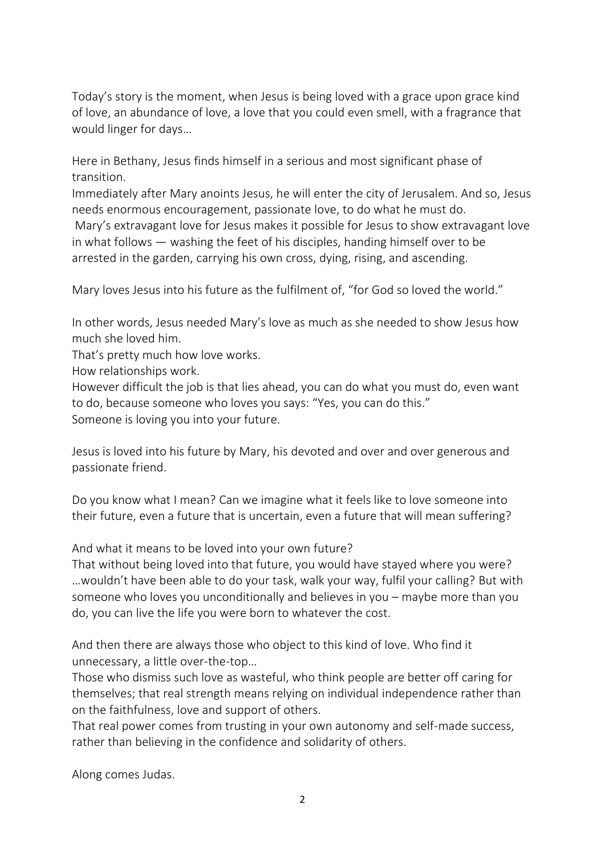Today's story is the moment, when Jesus is being loved with a grace upon grace kind of love, an abundance of love, a love that you could even smell, with a fragrance that would linger for days…

Here in Bethany, Jesus finds himself in a serious and most significant phase of transition.

Immediately after Mary anoints Jesus, he will enter the city of Jerusalem. And so, Jesus needs enormous encouragement, passionate love, to do what he must do.

Mary's extravagant love for Jesus makes it possible for Jesus to show extravagant love in what follows — washing the feet of his disciples, handing himself over to be arrested in the garden, carrying his own cross, dying, rising, and ascending.

Mary loves Jesus into his future as the fulfilment of, "for God so loved the world."

In other words, Jesus needed Mary's love as much as she needed to show Jesus how much she loved him.

That's pretty much how love works.

How relationships work.

However difficult the job is that lies ahead, you can do what you must do, even want to do, because someone who loves you says: "Yes, you can do this." Someone is loving you into your future.

Jesus is loved into his future by Mary, his devoted and over and over generous and passionate friend.

Do you know what I mean? Can we imagine what it feels like to love someone into their future, even a future that is uncertain, even a future that will mean suffering?

And what it means to be loved into your own future?

That without being loved into that future, you would have stayed where you were? …wouldn't have been able to do your task, walk your way, fulfil your calling? But with someone who loves you unconditionally and believes in you – maybe more than you do, you can live the life you were born to whatever the cost.

And then there are always those who object to this kind of love. Who find it unnecessary, a little over-the-top…

Those who dismiss such love as wasteful, who think people are better off caring for themselves; that real strength means relying on individual independence rather than on the faithfulness, love and support of others.

That real power comes from trusting in your own autonomy and self-made success, rather than believing in the confidence and solidarity of others.

Along comes Judas.